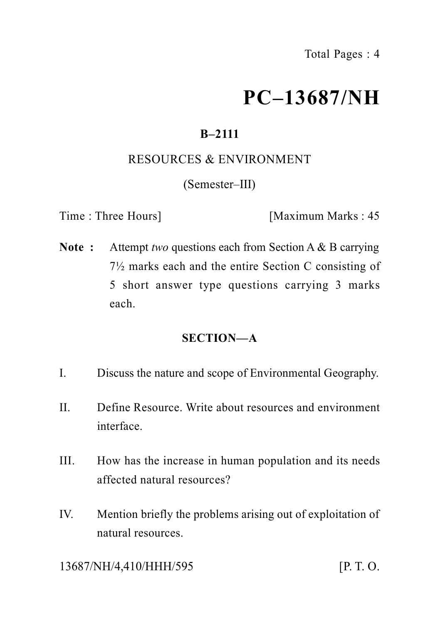# **PC–13687/NH**

# **B–2111**

#### RESOURCES & ENVIRONMENT

(Semester–III)

Time : Three Hours] [Maximum Marks : 45]

**Note :** Attempt *two* questions each from Section A & B carrying 7½ marks each and the entire Section C consisting of 5 short answer type questions carrying 3 marks each.

# **SECTION—A**

- I. Discuss the nature and scope of Environmental Geography.
- II. Define Resource. Write about resources and environment interface.
- III. How has the increase in human population and its needs affected natural resources?
- IV. Mention briefly the problems arising out of exploitation of natural resources.

13687/NH/4,410/HHH/595 [P. T. O.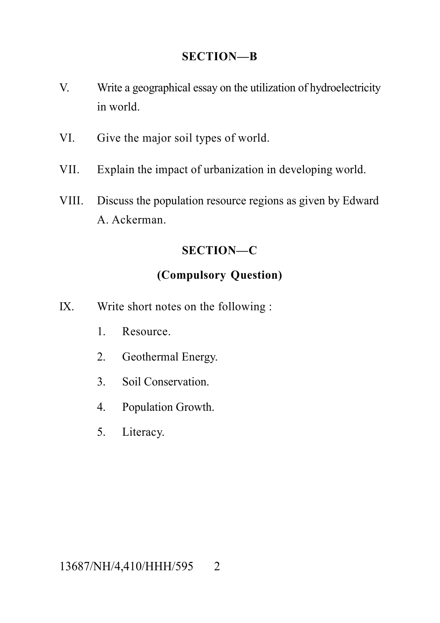#### **SECTION—B**

- V. Write a geographical essay on the utilization of hydroelectricity in world.
- VI. Give the major soil types of world.
- VII. Explain the impact of urbanization in developing world.
- VIII. Discuss the population resource regions as given by Edward A. Ackerman.

## **SECTION—C**

## **(Compulsory Question)**

- IX. Write short notes on the following :
	- 1. Resource.
	- 2. Geothermal Energy.
	- 3. Soil Conservation.
	- 4. Population Growth.
	- 5. Literacy.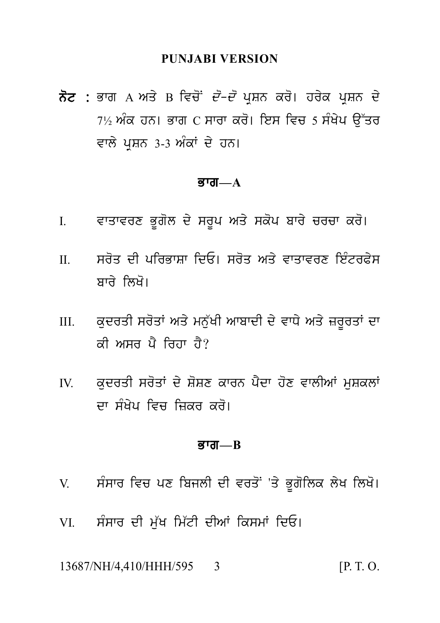#### **PUNJABI VERSION**

ਨੋਟ : ਭਾਗ A ਅਤੇ B ਵਿਚੋਂ *ਦੋ–ਦੋ* ਪੁਸ਼ਨ ਕਰੋ। ਹਰੇਕ ਪੁਸ਼ਨ ਦੇ 7½ ਅੰਕ ਹਨ। ਭਾਗ C ਸਾਰਾ ਕਰੋ। ਇਸ ਵਿਚ 5 ਸੰਖੇਪ ਉੱਤਰ ਵਾਲੇ ਪਸ਼ਨ 3-3 ਅੰਕਾਂ ਦੇ ਹਨ।

#### ਭਾਗ $-A$

- ਵਾਤਾਵਰਣ ਭੁਗੋਲ ਦੇ ਸਰੂਪ ਅਤੇ ਸਕੋਪ ਬਾਰੇ ਚਰਚਾ ਕਰੋ।  $\mathbf{L}$
- ਸਰੋਤ ਦੀ ਪਰਿਕਾਸਾ ਦਿਓ। ਸਰੋਤ ਅਤੇ ਵਾਤਾਵਰਣ ਇੰਟਰਫ਼ੇਸ  $\Pi$ ਸ਼ਾਰੇ ਲਿਖੋ।
- ਕਦਰਤੀ ਸਰੋਤਾਂ ਅਤੇ ਮਨੁੱਖੀ ਆਬਾਦੀ ਦੇ ਵਾਧੇ ਅਤੇ ਜ਼ਰੂਰਤਾਂ ਦਾ  $III$ ਕੀ ਅਸਰ ਪੈ ਰਿਹਾ ਹੈ?
- ਕਦਰਤੀ ਸਰੋਤਾਂ ਦੇ ਸ਼ੋਸ਼ਣ ਕਾਰਨ ਪੈਦਾ ਹੋਣ ਵਾਲੀਆਂ ਮਸ਼ਕਲਾਂ  $\mathbf{I}$ ਦਾ ਸੰਖੇਪ ਵਿਚ ਜਿਕਰ ਕਰੋ।

#### $\overline{g}$ गत $\overline{a}$

- ਸੰਸਾਰ ਵਿਚ ਪਣ ਬਿਜਲੀ ਦੀ ਵਰਤੋਂ 'ਤੇ ਭੁਗੋਲਿਕ ਲੇਖ ਲਿਖੋ।  $V$
- ਸੰਸਾਰ ਦੀ ਮੱਖ ਮਿੱਟੀ ਦੀਆਂ ਕਿਸਮਾਂ ਦਿਓ। VI.

13687/NH/4.410/HHH/595 3  $[P, T, O]$